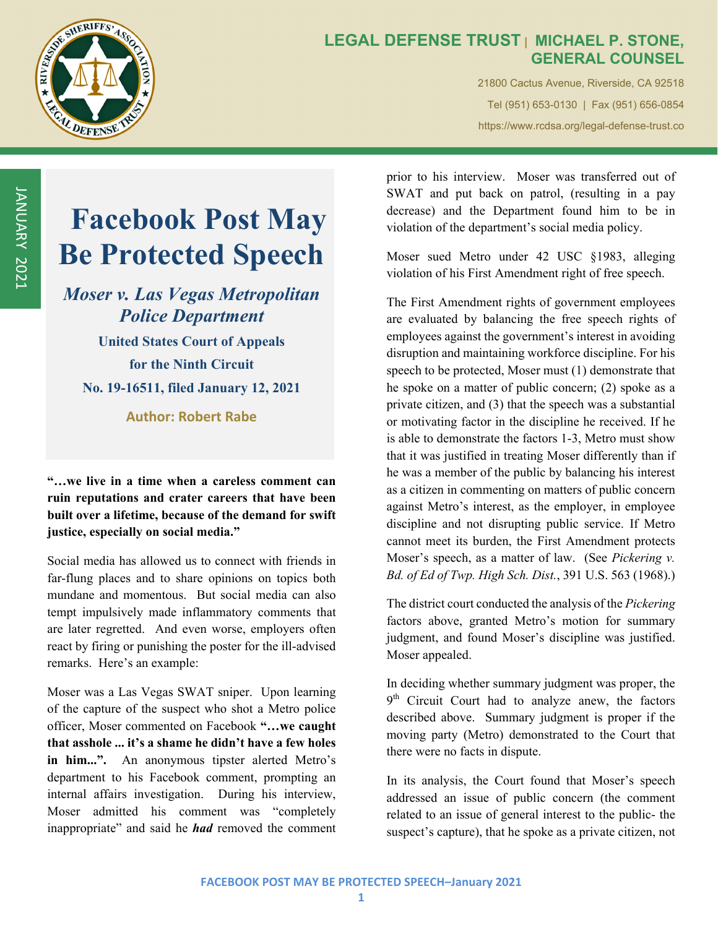

## **LEGAL DEFENSE TRUST | MICHAEL P. STONE, GENERAL COUNSEL**

21800 Cactus Avenue, Riverside, CA 92518 Tel (951) 653-0130 | Fax (951) 656-0854 https://www.rcdsa.org/legal-defense-trust.co

# **Facebook Post May Be Protected Speech**

# *Moser v. Las Vegas Metropolitan Police Department*

**United States Court of Appeals for the Ninth Circuit No. 19-16511, filed January 12, 2021**

**Author: Robert Rabe**

**"…we live in a time when a careless comment can ruin reputations and crater careers that have been built over a lifetime, because of the demand for swift justice, especially on social media."** 

Social media has allowed us to connect with friends in far-flung places and to share opinions on topics both mundane and momentous. But social media can also tempt impulsively made inflammatory comments that are later regretted. And even worse, employers often react by firing or punishing the poster for the ill-advised remarks. Here's an example:

Moser was a Las Vegas SWAT sniper. Upon learning of the capture of the suspect who shot a Metro police officer, Moser commented on Facebook **"…we caught that asshole ... it's a shame he didn't have a few holes**  in him...". An anonymous tipster alerted Metro's department to his Facebook comment, prompting an internal affairs investigation. During his interview, Moser admitted his comment was "completely inappropriate" and said he *had* removed the comment

prior to his interview. Moser was transferred out of SWAT and put back on patrol, (resulting in a pay decrease) and the Department found him to be in violation of the department's social media policy.

Moser sued Metro under 42 USC §1983, alleging violation of his First Amendment right of free speech.

The First Amendment rights of government employees are evaluated by balancing the free speech rights of employees against the government's interest in avoiding disruption and maintaining workforce discipline. For his speech to be protected, Moser must (1) demonstrate that he spoke on a matter of public concern; (2) spoke as a private citizen, and (3) that the speech was a substantial or motivating factor in the discipline he received. If he is able to demonstrate the factors 1-3, Metro must show that it was justified in treating Moser differently than if he was a member of the public by balancing his interest as a citizen in commenting on matters of public concern against Metro's interest, as the employer, in employee discipline and not disrupting public service. If Metro cannot meet its burden, the First Amendment protects Moser's speech, as a matter of law. (See *Pickering v. Bd. of Ed of Twp. High Sch. Dist.*, 391 U.S. 563 (1968).)

The district court conducted the analysis of the *Pickering* factors above, granted Metro's motion for summary judgment, and found Moser's discipline was justified. Moser appealed.

In deciding whether summary judgment was proper, the  $9<sup>th</sup>$  Circuit Court had to analyze anew, the factors described above. Summary judgment is proper if the moving party (Metro) demonstrated to the Court that there were no facts in dispute.

In its analysis, the Court found that Moser's speech addressed an issue of public concern (the comment related to an issue of general interest to the public- the suspect's capture), that he spoke as a private citizen, not